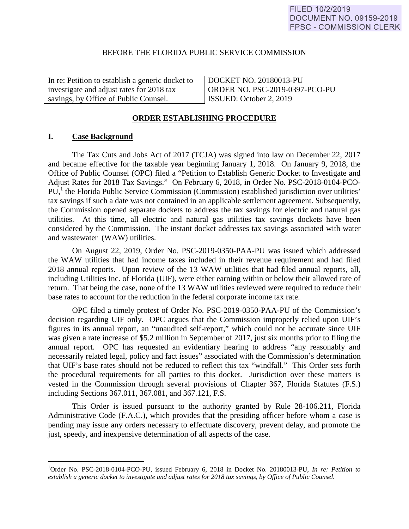### BEFORE THE FLORIDA PUBLIC SERVICE COMMISSION

In re: Petition to establish a generic docket to investigate and adjust rates for 2018 tax savings, by Office of Public Counsel.

DOCKET NO. 20180013-PU ORDER NO. PSC-2019-0397-PCO-PU ISSUED: October 2, 2019

#### **ORDER ESTABLISHING PROCEDURE**

### **I. Case Background**

1

 The Tax Cuts and Jobs Act of 2017 (TCJA) was signed into law on December 22, 2017 and became effective for the taxable year beginning January 1, 2018. On January 9, 2018, the Office of Public Counsel (OPC) filed a "Petition to Establish Generic Docket to Investigate and Adjust Rates for 2018 Tax Savings." On February 6, 2018, in Order No. PSC-2018-0104-PCO- $PU<sub>1</sub><sup>1</sup>$  the Florida Public Service Commission (Commission) established jurisdiction over utilities' tax savings if such a date was not contained in an applicable settlement agreement. Subsequently, the Commission opened separate dockets to address the tax savings for electric and natural gas utilities. At this time, all electric and natural gas utilities tax savings dockets have been considered by the Commission. The instant docket addresses tax savings associated with water and wastewater (WAW) utilities.

 On August 22, 2019, Order No. PSC-2019-0350-PAA-PU was issued which addressed the WAW utilities that had income taxes included in their revenue requirement and had filed 2018 annual reports. Upon review of the 13 WAW utilities that had filed annual reports, all, including Utilities Inc. of Florida (UIF), were either earning within or below their allowed rate of return. That being the case, none of the 13 WAW utilities reviewed were required to reduce their base rates to account for the reduction in the federal corporate income tax rate.

 OPC filed a timely protest of Order No. PSC-2019-0350-PAA-PU of the Commission's decision regarding UIF only. OPC argues that the Commission improperly relied upon UIF's figures in its annual report, an "unaudited self-report," which could not be accurate since UIF was given a rate increase of \$5.2 million in September of 2017, just six months prior to filing the annual report. OPC has requested an evidentiary hearing to address "any reasonably and necessarily related legal, policy and fact issues" associated with the Commission's determination that UIF's base rates should not be reduced to reflect this tax "windfall." This Order sets forth the procedural requirements for all parties to this docket. Jurisdiction over these matters is vested in the Commission through several provisions of Chapter 367, Florida Statutes (F.S.) including Sections 367.011, 367.081, and 367.121, F.S.

 This Order is issued pursuant to the authority granted by Rule 28-106.211, Florida Administrative Code (F.A.C.), which provides that the presiding officer before whom a case is pending may issue any orders necessary to effectuate discovery, prevent delay, and promote the just, speedy, and inexpensive determination of all aspects of the case.

<sup>1</sup> Order No. PSC-2018-0104-PCO-PU, issued February 6, 2018 in Docket No. 20180013-PU, *In re: Petition to establish a generic docket to investigate and adjust rates for 2018 tax savings, by Office of Public Counsel.*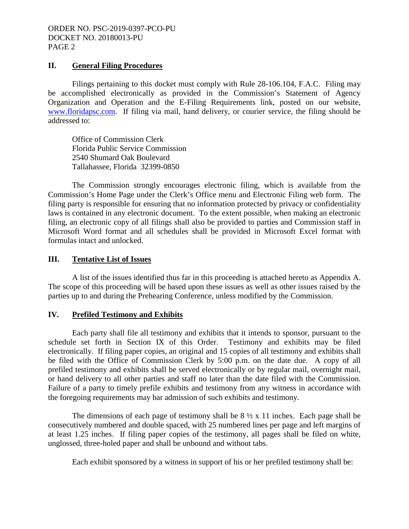### **II. General Filing Procedures**

 Filings pertaining to this docket must comply with Rule 28-106.104, F.A.C. Filing may be accomplished electronically as provided in the Commission's Statement of Agency Organization and Operation and the E-Filing Requirements link, posted on our website, www.floridapsc.com. If filing via mail, hand delivery, or courier service, the filing should be addressed to:

 Office of Commission Clerk Florida Public Service Commission 2540 Shumard Oak Boulevard Tallahassee, Florida 32399-0850

 The Commission strongly encourages electronic filing, which is available from the Commission's Home Page under the Clerk's Office menu and Electronic Filing web form. The filing party is responsible for ensuring that no information protected by privacy or confidentiality laws is contained in any electronic document. To the extent possible, when making an electronic filing, an electronic copy of all filings shall also be provided to parties and Commission staff in Microsoft Word format and all schedules shall be provided in Microsoft Excel format with formulas intact and unlocked.

#### **III. Tentative List of Issues**

 A list of the issues identified thus far in this proceeding is attached hereto as Appendix A. The scope of this proceeding will be based upon these issues as well as other issues raised by the parties up to and during the Prehearing Conference, unless modified by the Commission.

### **IV. Prefiled Testimony and Exhibits**

 Each party shall file all testimony and exhibits that it intends to sponsor, pursuant to the schedule set forth in Section IX of this Order. Testimony and exhibits may be filed electronically. If filing paper copies, an original and 15 copies of all testimony and exhibits shall be filed with the Office of Commission Clerk by 5:00 p.m. on the date due. A copy of all prefiled testimony and exhibits shall be served electronically or by regular mail, overnight mail, or hand delivery to all other parties and staff no later than the date filed with the Commission. Failure of a party to timely prefile exhibits and testimony from any witness in accordance with the foregoing requirements may bar admission of such exhibits and testimony.

The dimensions of each page of testimony shall be  $8\frac{1}{2} \times 11$  inches. Each page shall be consecutively numbered and double spaced, with 25 numbered lines per page and left margins of at least 1.25 inches. If filing paper copies of the testimony, all pages shall be filed on white, unglossed, three-holed paper and shall be unbound and without tabs.

Each exhibit sponsored by a witness in support of his or her prefiled testimony shall be: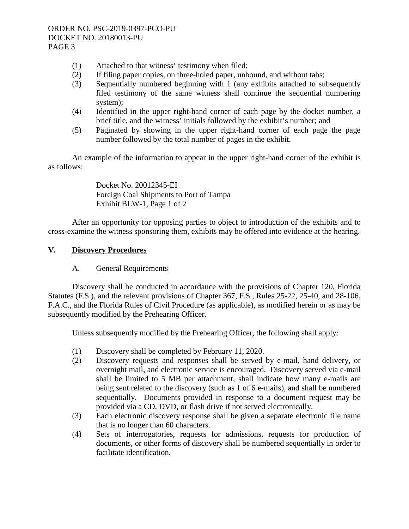- (1) Attached to that witness' testimony when filed;
- (2) If filing paper copies, on three-holed paper, unbound, and without tabs;
- (3) Sequentially numbered beginning with 1 (any exhibits attached to subsequently filed testimony of the same witness shall continue the sequential numbering system);
- (4) Identified in the upper right-hand corner of each page by the docket number, a brief title, and the witness' initials followed by the exhibit's number; and
- (5) Paginated by showing in the upper right-hand corner of each page the page number followed by the total number of pages in the exhibit.

 An example of the information to appear in the upper right-hand corner of the exhibit is as follows:

> Docket No. 20012345-EI Foreign Coal Shipments to Port of Tampa Exhibit BLW-1, Page 1 of 2

 After an opportunity for opposing parties to object to introduction of the exhibits and to cross-examine the witness sponsoring them, exhibits may be offered into evidence at the hearing.

# **V. Discovery Procedures**

# A. General Requirements

 Discovery shall be conducted in accordance with the provisions of Chapter 120, Florida Statutes (F.S.), and the relevant provisions of Chapter 367, F.S., Rules 25-22, 25-40, and 28-106, F.A.C., and the Florida Rules of Civil Procedure (as applicable), as modified herein or as may be subsequently modified by the Prehearing Officer.

Unless subsequently modified by the Prehearing Officer, the following shall apply:

- (1) Discovery shall be completed by February 11, 2020.
- (2) Discovery requests and responses shall be served by e-mail, hand delivery, or overnight mail, and electronic service is encouraged. Discovery served via e-mail shall be limited to 5 MB per attachment, shall indicate how many e-mails are being sent related to the discovery (such as 1 of 6 e-mails), and shall be numbered sequentially. Documents provided in response to a document request may be provided via a CD, DVD, or flash drive if not served electronically.
- (3) Each electronic discovery response shall be given a separate electronic file name that is no longer than 60 characters.
- (4) Sets of interrogatories, requests for admissions, requests for production of documents, or other forms of discovery shall be numbered sequentially in order to facilitate identification.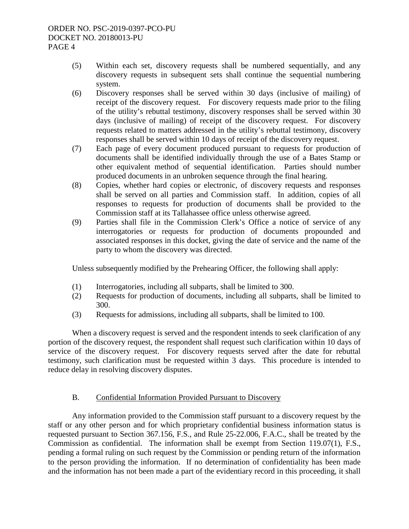- (5) Within each set, discovery requests shall be numbered sequentially, and any discovery requests in subsequent sets shall continue the sequential numbering system.
- (6) Discovery responses shall be served within 30 days (inclusive of mailing) of receipt of the discovery request. For discovery requests made prior to the filing of the utility's rebuttal testimony, discovery responses shall be served within 30 days (inclusive of mailing) of receipt of the discovery request. For discovery requests related to matters addressed in the utility's rebuttal testimony, discovery responses shall be served within 10 days of receipt of the discovery request.
- (7) Each page of every document produced pursuant to requests for production of documents shall be identified individually through the use of a Bates Stamp or other equivalent method of sequential identification. Parties should number produced documents in an unbroken sequence through the final hearing.
- (8) Copies, whether hard copies or electronic, of discovery requests and responses shall be served on all parties and Commission staff. In addition, copies of all responses to requests for production of documents shall be provided to the Commission staff at its Tallahassee office unless otherwise agreed.
- (9) Parties shall file in the Commission Clerk's Office a notice of service of any interrogatories or requests for production of documents propounded and associated responses in this docket, giving the date of service and the name of the party to whom the discovery was directed.

Unless subsequently modified by the Prehearing Officer, the following shall apply:

- (1) Interrogatories, including all subparts, shall be limited to 300.
- (2) Requests for production of documents, including all subparts, shall be limited to 300.
- (3) Requests for admissions, including all subparts, shall be limited to 100.

When a discovery request is served and the respondent intends to seek clarification of any portion of the discovery request, the respondent shall request such clarification within 10 days of service of the discovery request. For discovery requests served after the date for rebuttal testimony, such clarification must be requested within 3 days. This procedure is intended to reduce delay in resolving discovery disputes.

# B. Confidential Information Provided Pursuant to Discovery

 Any information provided to the Commission staff pursuant to a discovery request by the staff or any other person and for which proprietary confidential business information status is requested pursuant to Section 367.156, F.S., and Rule 25-22.006, F.A.C., shall be treated by the Commission as confidential. The information shall be exempt from Section 119.07(1), F.S., pending a formal ruling on such request by the Commission or pending return of the information to the person providing the information. If no determination of confidentiality has been made and the information has not been made a part of the evidentiary record in this proceeding, it shall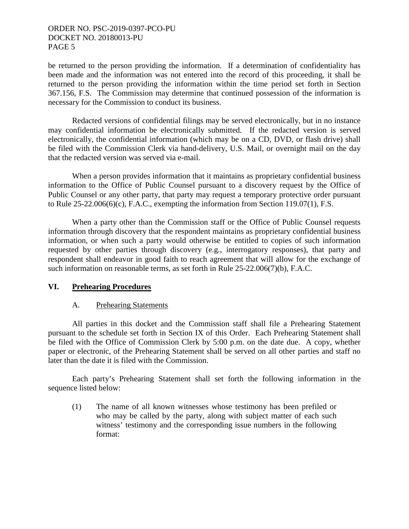be returned to the person providing the information. If a determination of confidentiality has been made and the information was not entered into the record of this proceeding, it shall be returned to the person providing the information within the time period set forth in Section 367.156, F.S. The Commission may determine that continued possession of the information is necessary for the Commission to conduct its business.

 Redacted versions of confidential filings may be served electronically, but in no instance may confidential information be electronically submitted. If the redacted version is served electronically, the confidential information (which may be on a CD, DVD, or flash drive) shall be filed with the Commission Clerk via hand-delivery, U.S. Mail, or overnight mail on the day that the redacted version was served via e-mail.

 When a person provides information that it maintains as proprietary confidential business information to the Office of Public Counsel pursuant to a discovery request by the Office of Public Counsel or any other party, that party may request a temporary protective order pursuant to Rule  $25-22.006(6)(c)$ , F.A.C., exempting the information from Section 119.07(1), F.S.

 When a party other than the Commission staff or the Office of Public Counsel requests information through discovery that the respondent maintains as proprietary confidential business information, or when such a party would otherwise be entitled to copies of such information requested by other parties through discovery (e.g., interrogatory responses), that party and respondent shall endeavor in good faith to reach agreement that will allow for the exchange of such information on reasonable terms, as set forth in Rule 25-22.006(7)(b), F.A.C.

### **VI. Prehearing Procedures**

### A. Prehearing Statements

 All parties in this docket and the Commission staff shall file a Prehearing Statement pursuant to the schedule set forth in Section IX of this Order. Each Prehearing Statement shall be filed with the Office of Commission Clerk by 5:00 p.m. on the date due. A copy, whether paper or electronic, of the Prehearing Statement shall be served on all other parties and staff no later than the date it is filed with the Commission.

 Each party's Prehearing Statement shall set forth the following information in the sequence listed below:

(1) The name of all known witnesses whose testimony has been prefiled or who may be called by the party, along with subject matter of each such witness' testimony and the corresponding issue numbers in the following format: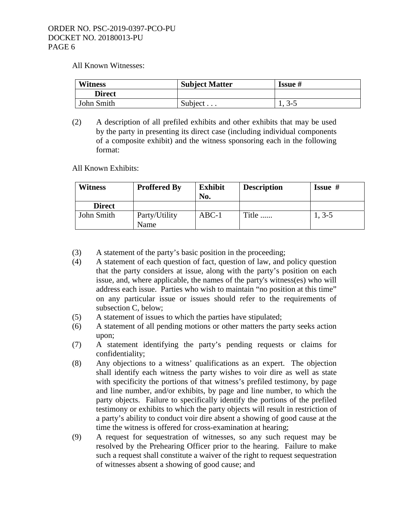All Known Witnesses:

| <b>Witness</b> | <b>Subject Matter</b> | <b>Issue</b> # |
|----------------|-----------------------|----------------|
| <b>Direct</b>  |                       |                |
| John Smith     | Subject $\ldots$      | $1, 3-5$       |

(2) A description of all prefiled exhibits and other exhibits that may be used by the party in presenting its direct case (including individual components of a composite exhibit) and the witness sponsoring each in the following format:

All Known Exhibits:

| Witness       | <b>Proffered By</b>   | <b>Exhibit</b><br>No. | <b>Description</b> | <b>Issue</b> $#$ |
|---------------|-----------------------|-----------------------|--------------------|------------------|
| <b>Direct</b> |                       |                       |                    |                  |
| John Smith    | Party/Utility<br>Name | $ABC-1$               | Title              | $1, 3-5$         |

- (3) A statement of the party's basic position in the proceeding;
- (4) A statement of each question of fact, question of law, and policy question that the party considers at issue, along with the party's position on each issue, and, where applicable, the names of the party's witness(es) who will address each issue. Parties who wish to maintain "no position at this time" on any particular issue or issues should refer to the requirements of subsection C, below;
- (5) A statement of issues to which the parties have stipulated;
- (6) A statement of all pending motions or other matters the party seeks action upon;
- (7) A statement identifying the party's pending requests or claims for confidentiality;
- (8) Any objections to a witness' qualifications as an expert. The objection shall identify each witness the party wishes to voir dire as well as state with specificity the portions of that witness's prefiled testimony, by page and line number, and/or exhibits, by page and line number, to which the party objects. Failure to specifically identify the portions of the prefiled testimony or exhibits to which the party objects will result in restriction of a party's ability to conduct voir dire absent a showing of good cause at the time the witness is offered for cross-examination at hearing;
- (9) A request for sequestration of witnesses, so any such request may be resolved by the Prehearing Officer prior to the hearing. Failure to make such a request shall constitute a waiver of the right to request sequestration of witnesses absent a showing of good cause; and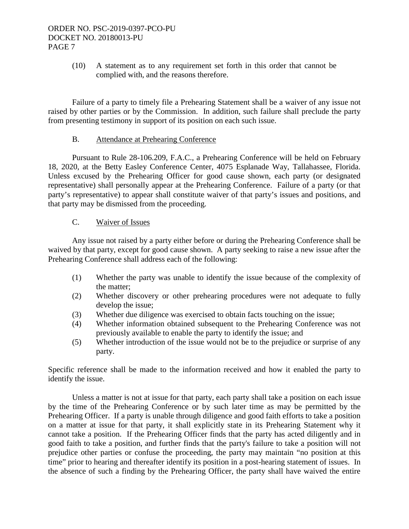(10) A statement as to any requirement set forth in this order that cannot be complied with, and the reasons therefore.

 Failure of a party to timely file a Prehearing Statement shall be a waiver of any issue not raised by other parties or by the Commission. In addition, such failure shall preclude the party from presenting testimony in support of its position on each such issue.

### B. Attendance at Prehearing Conference

 Pursuant to Rule 28-106.209, F.A.C., a Prehearing Conference will be held on February 18, 2020, at the Betty Easley Conference Center, 4075 Esplanade Way, Tallahassee, Florida. Unless excused by the Prehearing Officer for good cause shown, each party (or designated representative) shall personally appear at the Prehearing Conference. Failure of a party (or that party's representative) to appear shall constitute waiver of that party's issues and positions, and that party may be dismissed from the proceeding.

### C. Waiver of Issues

 Any issue not raised by a party either before or during the Prehearing Conference shall be waived by that party, except for good cause shown. A party seeking to raise a new issue after the Prehearing Conference shall address each of the following:

- (1) Whether the party was unable to identify the issue because of the complexity of the matter;
- (2) Whether discovery or other prehearing procedures were not adequate to fully develop the issue;
- (3) Whether due diligence was exercised to obtain facts touching on the issue;
- (4) Whether information obtained subsequent to the Prehearing Conference was not previously available to enable the party to identify the issue; and
- (5) Whether introduction of the issue would not be to the prejudice or surprise of any party.

Specific reference shall be made to the information received and how it enabled the party to identify the issue.

 Unless a matter is not at issue for that party, each party shall take a position on each issue by the time of the Prehearing Conference or by such later time as may be permitted by the Prehearing Officer. If a party is unable through diligence and good faith efforts to take a position on a matter at issue for that party, it shall explicitly state in its Prehearing Statement why it cannot take a position. If the Prehearing Officer finds that the party has acted diligently and in good faith to take a position, and further finds that the party's failure to take a position will not prejudice other parties or confuse the proceeding, the party may maintain "no position at this time" prior to hearing and thereafter identify its position in a post-hearing statement of issues. In the absence of such a finding by the Prehearing Officer, the party shall have waived the entire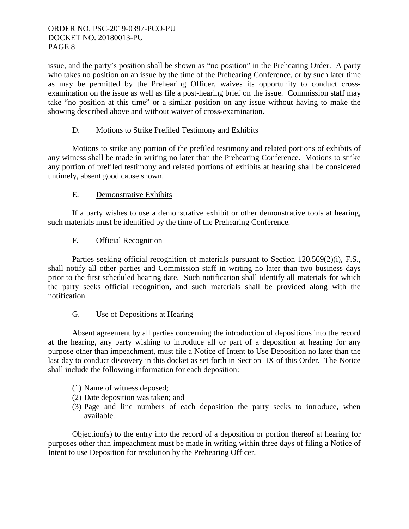issue, and the party's position shall be shown as "no position" in the Prehearing Order. A party who takes no position on an issue by the time of the Prehearing Conference, or by such later time as may be permitted by the Prehearing Officer, waives its opportunity to conduct crossexamination on the issue as well as file a post-hearing brief on the issue. Commission staff may take "no position at this time" or a similar position on any issue without having to make the showing described above and without waiver of cross-examination.

# D. Motions to Strike Prefiled Testimony and Exhibits

 Motions to strike any portion of the prefiled testimony and related portions of exhibits of any witness shall be made in writing no later than the Prehearing Conference. Motions to strike any portion of prefiled testimony and related portions of exhibits at hearing shall be considered untimely, absent good cause shown.

# E. Demonstrative Exhibits

 If a party wishes to use a demonstrative exhibit or other demonstrative tools at hearing, such materials must be identified by the time of the Prehearing Conference.

# F. Official Recognition

 Parties seeking official recognition of materials pursuant to Section 120.569(2)(i), F.S., shall notify all other parties and Commission staff in writing no later than two business days prior to the first scheduled hearing date. Such notification shall identify all materials for which the party seeks official recognition, and such materials shall be provided along with the notification.

### G. Use of Depositions at Hearing

 Absent agreement by all parties concerning the introduction of depositions into the record at the hearing, any party wishing to introduce all or part of a deposition at hearing for any purpose other than impeachment, must file a Notice of Intent to Use Deposition no later than the last day to conduct discovery in this docket as set forth in Section IX of this Order. The Notice shall include the following information for each deposition:

- (1) Name of witness deposed;
- (2) Date deposition was taken; and
- (3) Page and line numbers of each deposition the party seeks to introduce, when available.

Objection(s) to the entry into the record of a deposition or portion thereof at hearing for purposes other than impeachment must be made in writing within three days of filing a Notice of Intent to use Deposition for resolution by the Prehearing Officer.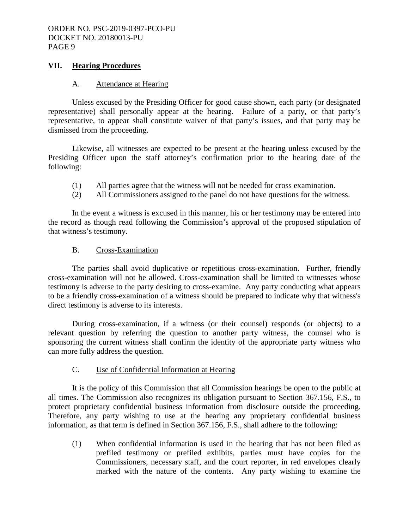## **VII. Hearing Procedures**

### A. Attendance at Hearing

 Unless excused by the Presiding Officer for good cause shown, each party (or designated representative) shall personally appear at the hearing. Failure of a party, or that party's representative, to appear shall constitute waiver of that party's issues, and that party may be dismissed from the proceeding.

 Likewise, all witnesses are expected to be present at the hearing unless excused by the Presiding Officer upon the staff attorney's confirmation prior to the hearing date of the following:

- (1) All parties agree that the witness will not be needed for cross examination.
- (2) All Commissioners assigned to the panel do not have questions for the witness.

 In the event a witness is excused in this manner, his or her testimony may be entered into the record as though read following the Commission's approval of the proposed stipulation of that witness's testimony.

# B. Cross-Examination

 The parties shall avoid duplicative or repetitious cross-examination. Further, friendly cross-examination will not be allowed. Cross-examination shall be limited to witnesses whose testimony is adverse to the party desiring to cross-examine. Any party conducting what appears to be a friendly cross-examination of a witness should be prepared to indicate why that witness's direct testimony is adverse to its interests.

 During cross-examination, if a witness (or their counsel) responds (or objects) to a relevant question by referring the question to another party witness, the counsel who is sponsoring the current witness shall confirm the identity of the appropriate party witness who can more fully address the question.

# C. Use of Confidential Information at Hearing

 It is the policy of this Commission that all Commission hearings be open to the public at all times. The Commission also recognizes its obligation pursuant to Section 367.156, F.S., to protect proprietary confidential business information from disclosure outside the proceeding. Therefore, any party wishing to use at the hearing any proprietary confidential business information, as that term is defined in Section 367.156, F.S., shall adhere to the following:

(1) When confidential information is used in the hearing that has not been filed as prefiled testimony or prefiled exhibits, parties must have copies for the Commissioners, necessary staff, and the court reporter, in red envelopes clearly marked with the nature of the contents. Any party wishing to examine the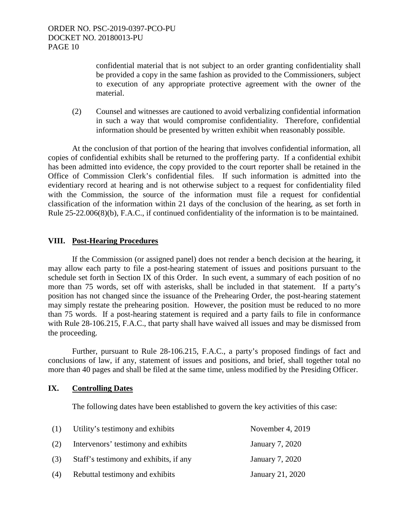confidential material that is not subject to an order granting confidentiality shall be provided a copy in the same fashion as provided to the Commissioners, subject to execution of any appropriate protective agreement with the owner of the material.

(2) Counsel and witnesses are cautioned to avoid verbalizing confidential information in such a way that would compromise confidentiality. Therefore, confidential information should be presented by written exhibit when reasonably possible.

 At the conclusion of that portion of the hearing that involves confidential information, all copies of confidential exhibits shall be returned to the proffering party. If a confidential exhibit has been admitted into evidence, the copy provided to the court reporter shall be retained in the Office of Commission Clerk's confidential files. If such information is admitted into the evidentiary record at hearing and is not otherwise subject to a request for confidentiality filed with the Commission, the source of the information must file a request for confidential classification of the information within 21 days of the conclusion of the hearing, as set forth in Rule 25-22.006(8)(b), F.A.C., if continued confidentiality of the information is to be maintained.

# **VIII. Post-Hearing Procedures**

 If the Commission (or assigned panel) does not render a bench decision at the hearing, it may allow each party to file a post-hearing statement of issues and positions pursuant to the schedule set forth in Section IX of this Order. In such event, a summary of each position of no more than 75 words, set off with asterisks, shall be included in that statement. If a party's position has not changed since the issuance of the Prehearing Order, the post-hearing statement may simply restate the prehearing position. However, the position must be reduced to no more than 75 words. If a post-hearing statement is required and a party fails to file in conformance with Rule 28-106.215, F.A.C., that party shall have waived all issues and may be dismissed from the proceeding.

 Further, pursuant to Rule 28-106.215, F.A.C., a party's proposed findings of fact and conclusions of law, if any, statement of issues and positions, and brief, shall together total no more than 40 pages and shall be filed at the same time, unless modified by the Presiding Officer.

### **IX. Controlling Dates**

The following dates have been established to govern the key activities of this case:

| (1) | Utility's testimony and exhibits       | November 4, 2019 |
|-----|----------------------------------------|------------------|
| (2) | Intervenors' testimony and exhibits    | January 7, 2020  |
| (3) | Staff's testimony and exhibits, if any | January 7, 2020  |
| (4) | Rebuttal testimony and exhibits        | January 21, 2020 |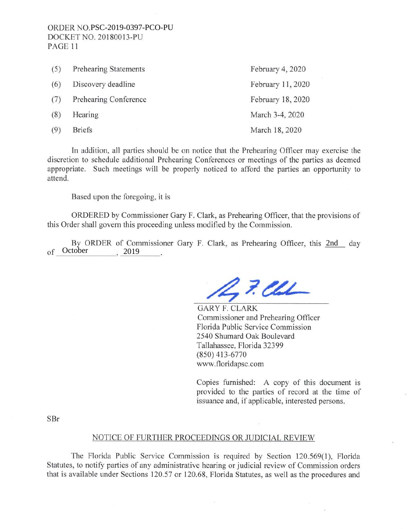| (5) | <b>Prehearing Statements</b> | February 4, 2020  |
|-----|------------------------------|-------------------|
| (6) | Discovery deadline           | February 11, 2020 |
| (7) | Prehearing Conference        | February 18, 2020 |
| (8) | Hearing                      | March 3-4, 2020   |
| (9) | <b>Briefs</b>                | March 18, 2020    |

In addition, all parties should be on notice that the Prehearing Officer may exercise the discretion to schedule additional Prehearing Conferences or meetings of the parties as deemed appropriate. Such meetings will be properly noticed to afford the parties an opportunity to attend.

Based upon the foregoing, it is

ORDERED by Commissioner Gary F. Clark, as Prehearing Officer, that the provisions of this Order shall govern this proceeding unless modified by the Commission.

By ORDER of Commissioner Gary F. Clark, as Prehearing Officer, this 2nd day of October 2019

 $27.24$ 

GARY F. CLARK Commissioner and Prehearing Officer Florida Public Service Commission 2540 Shumard Oak Boulevard Tallahassee, Florida 32399 (850) 413-6770 www.floridapsc.com

Copies furnished: A copy of this document is provided to the parties of record at the time of issuance and, if applicable, interested persons.

SBr

#### NOTICE OF FURTHER PROCEEDINGS OR JUDICIAL REVIEW

The Florida Public Service Commission is required by Section 120.569(1), Florida Statutes, to notify parties of any administrative hearing or judicial review of Commission orders that is available under Sections 120.57 or 120.68, Florida Statutes, as well as the procedures and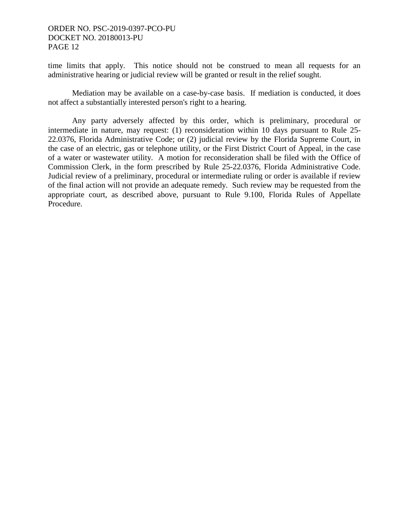time limits that apply. This notice should not be construed to mean all requests for an administrative hearing or judicial review will be granted or result in the relief sought.

 Mediation may be available on a case-by-case basis. If mediation is conducted, it does not affect a substantially interested person's right to a hearing.

 Any party adversely affected by this order, which is preliminary, procedural or intermediate in nature, may request: (1) reconsideration within 10 days pursuant to Rule 25- 22.0376, Florida Administrative Code; or (2) judicial review by the Florida Supreme Court, in the case of an electric, gas or telephone utility, or the First District Court of Appeal, in the case of a water or wastewater utility. A motion for reconsideration shall be filed with the Office of Commission Clerk, in the form prescribed by Rule 25-22.0376, Florida Administrative Code. Judicial review of a preliminary, procedural or intermediate ruling or order is available if review of the final action will not provide an adequate remedy. Such review may be requested from the appropriate court, as described above, pursuant to Rule 9.100, Florida Rules of Appellate Procedure.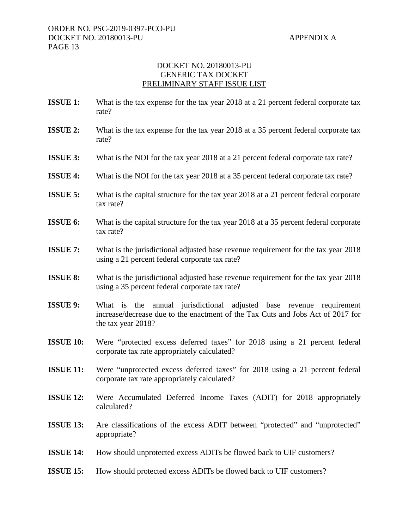# DOCKET NO. 20180013-PU GENERIC TAX DOCKET PRELIMINARY STAFF ISSUE LIST

- **ISSUE 1:** What is the tax expense for the tax year 2018 at a 21 percent federal corporate tax rate?
- **ISSUE 2:** What is the tax expense for the tax year 2018 at a 35 percent federal corporate tax rate?
- **ISSUE 3:** What is the NOI for the tax year 2018 at a 21 percent federal corporate tax rate?
- **ISSUE 4:** What is the NOI for the tax year 2018 at a 35 percent federal corporate tax rate?
- **ISSUE 5:** What is the capital structure for the tax year 2018 at a 21 percent federal corporate tax rate?
- **ISSUE 6:** What is the capital structure for the tax year 2018 at a 35 percent federal corporate tax rate?
- **ISSUE 7:** What is the jurisdictional adjusted base revenue requirement for the tax year 2018 using a 21 percent federal corporate tax rate?
- **ISSUE 8:** What is the jurisdictional adjusted base revenue requirement for the tax year 2018 using a 35 percent federal corporate tax rate?
- **ISSUE 9:** What is the annual jurisdictional adjusted base revenue requirement increase/decrease due to the enactment of the Tax Cuts and Jobs Act of 2017 for the tax year 2018?
- **ISSUE 10:** Were "protected excess deferred taxes" for 2018 using a 21 percent federal corporate tax rate appropriately calculated?
- **ISSUE 11:** Were "unprotected excess deferred taxes" for 2018 using a 21 percent federal corporate tax rate appropriately calculated?
- **ISSUE 12:** Were Accumulated Deferred Income Taxes (ADIT) for 2018 appropriately calculated?
- **ISSUE 13:** Are classifications of the excess ADIT between "protected" and "unprotected" appropriate?
- **ISSUE 14:** How should unprotected excess ADITs be flowed back to UIF customers?
- **ISSUE 15:** How should protected excess ADITs be flowed back to UIF customers?